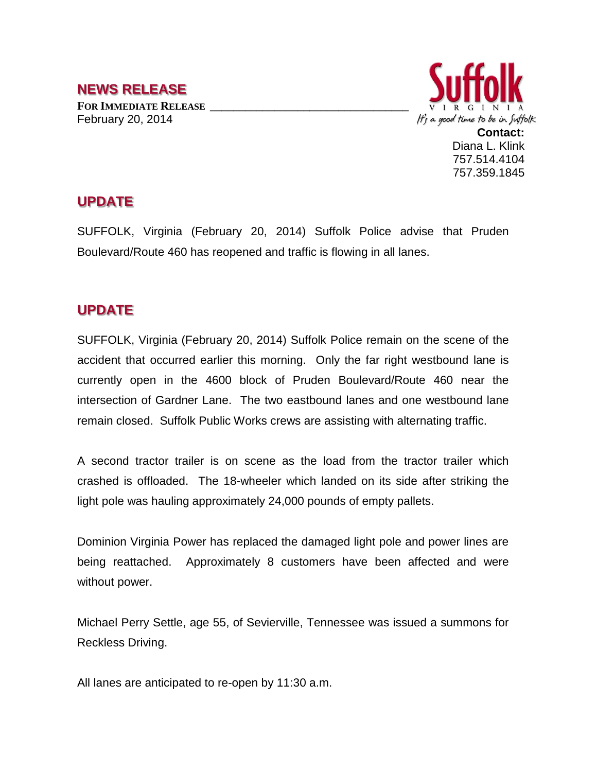## **NEWS RELEASE FOR IMMEDIATE RELEASE \_\_\_\_\_\_\_\_\_\_\_\_\_\_\_\_\_\_\_\_\_\_\_\_\_\_\_\_\_\_\_\_\_\_**

February 20, 2014



## **UPDATE**

SUFFOLK, Virginia (February 20, 2014) Suffolk Police advise that Pruden Boulevard/Route 460 has reopened and traffic is flowing in all lanes.

## **UPDATE**

SUFFOLK, Virginia (February 20, 2014) Suffolk Police remain on the scene of the accident that occurred earlier this morning. Only the far right westbound lane is currently open in the 4600 block of Pruden Boulevard/Route 460 near the intersection of Gardner Lane. The two eastbound lanes and one westbound lane remain closed. Suffolk Public Works crews are assisting with alternating traffic.

A second tractor trailer is on scene as the load from the tractor trailer which crashed is offloaded. The 18-wheeler which landed on its side after striking the light pole was hauling approximately 24,000 pounds of empty pallets.

Dominion Virginia Power has replaced the damaged light pole and power lines are being reattached. Approximately 8 customers have been affected and were without power.

Michael Perry Settle, age 55, of Sevierville, Tennessee was issued a summons for Reckless Driving.

All lanes are anticipated to re-open by 11:30 a.m.